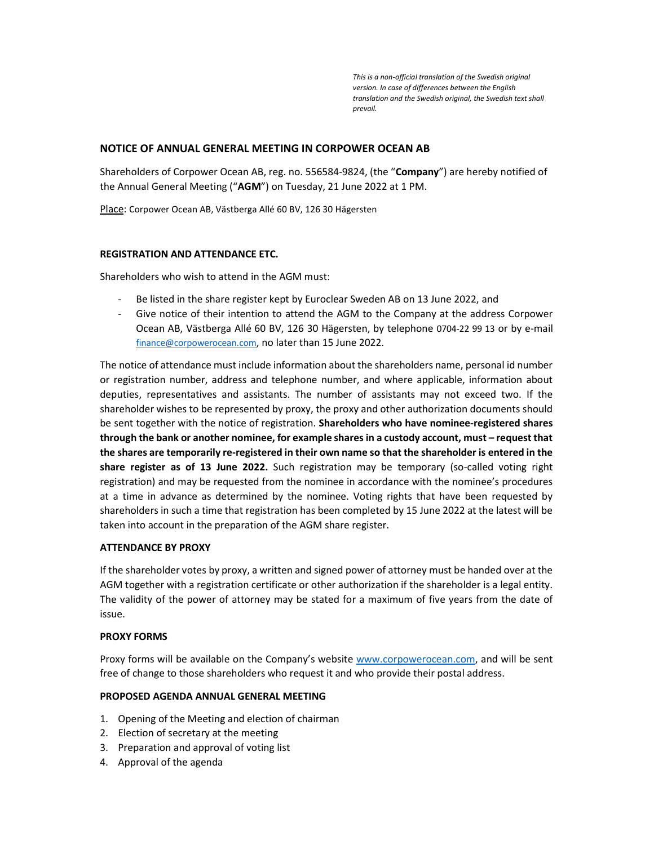This is a non-official translation of the Swedish original version. In case of differences between the English translation and the Swedish original, the Swedish text shall prevail.

# NOTICE OF ANNUAL GENERAL MEETING IN CORPOWER OCEAN AB

Shareholders of Corpower Ocean AB, reg. no. 556584-9824, (the "Company") are hereby notified of the Annual General Meeting ("AGM") on Tuesday, 21 June 2022 at 1 PM.

Place: Corpower Ocean AB, Västberga Allé 60 BV, 126 30 Hägersten

## REGISTRATION AND ATTENDANCE ETC.

Shareholders who wish to attend in the AGM must:

- Be listed in the share register kept by Euroclear Sweden AB on 13 June 2022, and
- Give notice of their intention to attend the AGM to the Company at the address Corpower Ocean AB, Västberga Allé 60 BV, 126 30 Hägersten, by telephone 0704-22 99 13 or by e-mail finance@corpowerocean.com, no later than 15 June 2022.

The notice of attendance must include information about the shareholders name, personal id number or registration number, address and telephone number, and where applicable, information about deputies, representatives and assistants. The number of assistants may not exceed two. If the shareholder wishes to be represented by proxy, the proxy and other authorization documents should be sent together with the notice of registration. Shareholders who have nominee-registered shares through the bank or another nominee, for example shares in a custody account, must – request that the shares are temporarily re-registered in their own name so that the shareholder is entered in the share register as of 13 June 2022. Such registration may be temporary (so-called voting right registration) and may be requested from the nominee in accordance with the nominee's procedures at a time in advance as determined by the nominee. Voting rights that have been requested by shareholders in such a time that registration has been completed by 15 June 2022 at the latest will be taken into account in the preparation of the AGM share register.

## ATTENDANCE BY PROXY

If the shareholder votes by proxy, a written and signed power of attorney must be handed over at the AGM together with a registration certificate or other authorization if the shareholder is a legal entity. The validity of the power of attorney may be stated for a maximum of five years from the date of issue.

## PROXY FORMS

Proxy forms will be available on the Company's website www.corpowerocean.com, and will be sent free of change to those shareholders who request it and who provide their postal address.

## PROPOSED AGENDA ANNUAL GENERAL MEETING

- 1. Opening of the Meeting and election of chairman
- 2. Election of secretary at the meeting
- 3. Preparation and approval of voting list
- 4. Approval of the agenda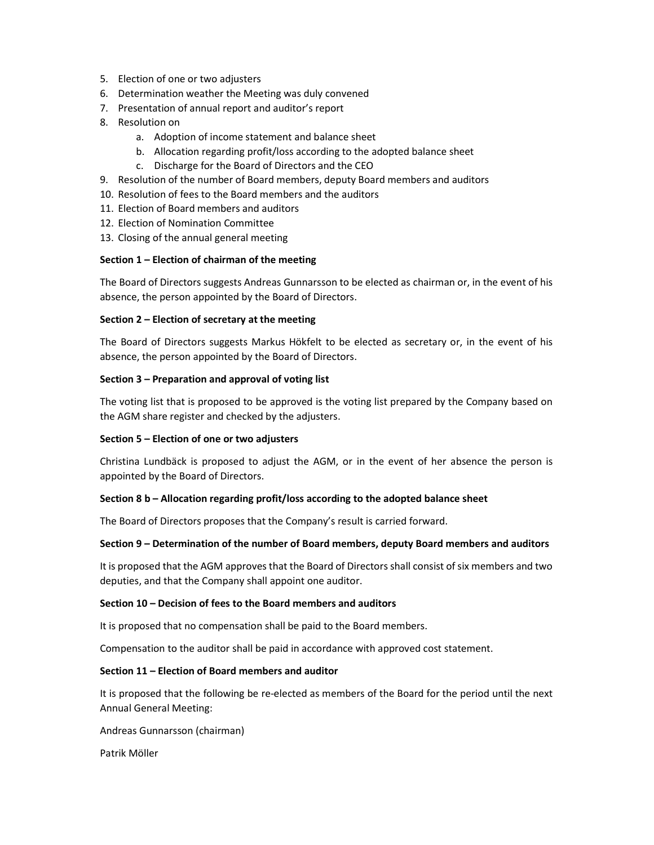- 5. Election of one or two adjusters
- 6. Determination weather the Meeting was duly convened
- 7. Presentation of annual report and auditor's report
- 8. Resolution on
	- a. Adoption of income statement and balance sheet
	- b. Allocation regarding profit/loss according to the adopted balance sheet
	- c. Discharge for the Board of Directors and the CEO
- 9. Resolution of the number of Board members, deputy Board members and auditors
- 10. Resolution of fees to the Board members and the auditors
- 11. Election of Board members and auditors
- 12. Election of Nomination Committee
- 13. Closing of the annual general meeting

## Section 1 – Election of chairman of the meeting

The Board of Directors suggests Andreas Gunnarsson to be elected as chairman or, in the event of his absence, the person appointed by the Board of Directors.

## Section 2 – Election of secretary at the meeting

The Board of Directors suggests Markus Hökfelt to be elected as secretary or, in the event of his absence, the person appointed by the Board of Directors.

# Section 3 – Preparation and approval of voting list

The voting list that is proposed to be approved is the voting list prepared by the Company based on the AGM share register and checked by the adjusters.

## Section 5 – Election of one or two adjusters

Christina Lundbäck is proposed to adjust the AGM, or in the event of her absence the person is appointed by the Board of Directors.

## Section 8 b – Allocation regarding profit/loss according to the adopted balance sheet

The Board of Directors proposes that the Company's result is carried forward.

## Section 9 – Determination of the number of Board members, deputy Board members and auditors

It is proposed that the AGM approves that the Board of Directors shall consist of six members and two deputies, and that the Company shall appoint one auditor.

## Section 10 – Decision of fees to the Board members and auditors

It is proposed that no compensation shall be paid to the Board members.

Compensation to the auditor shall be paid in accordance with approved cost statement.

## Section 11 – Election of Board members and auditor

It is proposed that the following be re-elected as members of the Board for the period until the next Annual General Meeting:

Andreas Gunnarsson (chairman)

Patrik Möller